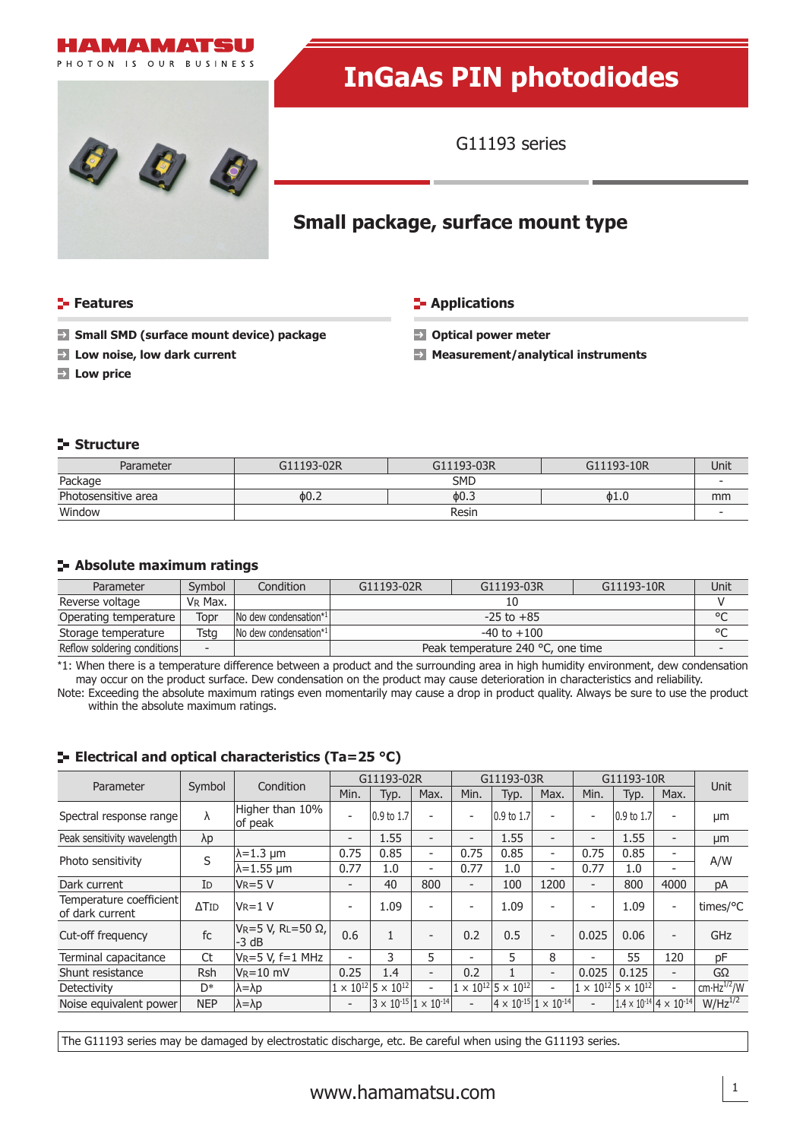



# **InGaAs PIN photodiodes**

G11193 series

# **Small package, surface mount type**

# **Features**

**Low price** 

## **E-** Applications

- **Small SMD (surface mount device) package**
- **Low noise, low dark current**
- **Optical power meter**
- **Measurement/analytical instruments**

# **Structure**

| Parameter           | G11193-02R | G11193-03R | G11193-10R | Unit |  |
|---------------------|------------|------------|------------|------|--|
| Package             | <b>SMD</b> |            |            |      |  |
| Photosensitive area | $\phi$ 0.2 | $\phi$ 0.3 | 0.16       | mm   |  |
| Window              | Resin      |            |            |      |  |

# **Absolute maximum ratings**

| Parameter                   | Symbol                   | Condition                                | G11193-02R                        | G11193-03R | G11193-10R | Unit    |
|-----------------------------|--------------------------|------------------------------------------|-----------------------------------|------------|------------|---------|
| Reverse voltage             | V <sub>R</sub> Max.      |                                          |                                   |            |            |         |
| Operating temperature       | Topr                     | $\lfloor$ No dew condensation* $\lfloor$ | $-25$ to $+85$                    |            |            | $\circ$ |
| Storage temperature         | Tsta                     | No dew condensation*1                    | -40 to $+100$                     |            |            | $\circ$ |
| Reflow soldering conditions | $\overline{\phantom{0}}$ |                                          | Peak temperature 240 °C, one time |            |            |         |

\*1: When there is a temperature difference between a product and the surrounding area in high humidity environment, dew condensation may occur on the product surface. Dew condensation on the product may cause deterioration in characteristics and reliability.

Note: Exceeding the absolute maximum ratings even momentarily may cause a drop in product quality. Always be sure to use the product within the absolute maximum ratings.

# Parameter Symbol Condition G11193-02R G11193-03R G11193-10R G11193-10R Unit Spectral response range  $\lambda$  Higher than 10% of peak  $\begin{vmatrix} -1 & 0.9 & \text{to } 1.7 \\ 0.9 & \text{to } 1.7 \end{vmatrix}$  -  $\begin{vmatrix} 0.9 & \text{to } 1.7 \\ 0.9 & \text{to } 1.7 \end{vmatrix}$  -  $\begin{vmatrix} 0.9 & \text{to } 1.7 \\ 0.9 & \text{to } 1.7 \end{vmatrix}$  -  $\begin{vmatrix} 0.9 & \text{to } 1.7 \\ 0.9 & \text{to } 1.7 \end{vmatrix}$ Peak sensitivity wavelength λp - 1.55 - - 1.55 - - 1.55 - μm<br>
a -1.3 μm 0.75 0.85 - 0.75 0.85 - 0.75 0.85 -Photo sensitivity  $\begin{array}{|c|c|c|c|c|c|}\hline \text{N=1.3 }\ \text{\mu m} & \text{0.75} & \text{0.85} & - & \text{0.75} & \text{0.85} & - & \text{0.77} & \text{0.85} & - \ \hline \text{N=1.55 }\ \text{\mu m} & \text{0.77} & \text{1.0} & - & \text{0.77} & \text{1.0} & - & \text{0.77} & \text{1.0} & - \ \hline \end{array}$  A/W Dark current ID VR=5 V - 40 800 - 100 1200 - 800 4000 pA Temperature coefficient of dark current  $\Delta$ TID  $|V_R=1$  V  $|V_R=1$   $|V_R=1$   $|V_R=1$   $|V_R=1$   $|V_R=1$   $|V_R=1$   $|V_R=1$   $|V_R=1$   $|V_R=1$   $|V_R=1$   $|V_R=1$   $|V_R=1$   $|V_R=1$   $|V_R=1$   $|V_R=1$   $|V_R=1$   $|V_R=1$   $|V_R=1$   $|V_R=1$   $|V_R=1$   $|V_R=1$   $|V_R=1$   $|V_R=1$   $|$ Cut-off frequency fc  $V_R = 5 V$ , RL=50  $\Omega$ , -3 dB 0.6 <sup>1</sup> - 0.2 0.5 - 0.025 0.06 - GHz Terminal capacitance Ct  $V_{R}=5$  V, f=1 MHz - 3 5 - 5 8 - 55 120 pF Shunt resistance Rsh VR=10 mV 0.25 1.4 - 0.2 1 - 0.025 0.125 - GΩ<br>Detectivity D\*  $\lambda = \lambda p$  1 × 10<sup>12</sup> 5 × 10<sup>12</sup> - 1 × 10<sup>12</sup> 5 × 10<sup>12</sup> - 1 × 10<sup>12</sup> 5 × 10<sup>12</sup> - cm·Hz<sup>1/2</sup>/W Detectivity  $D^*$   $|\lambda = \lambda p$   $|1 \times 10^{12} |5 \times 10^{12}|$  -  $|1 \times 10^{12} |5 \times 10^{12}|$  -  $|1 \times 10^{12} |5 \times 10^{12}|$  -  $|\text{cm} \cdot \text{Hz}^{1/2} / \text{W}$ Noise equivalent power NEP  $|\lambda = \lambda p$   $|_2 = |3 \times 10^{15}| \times 10^{14}| = |4 \times 10^{15}| \times 10^{14}| = |1.4 \times 10^{14}| \times 10^{14}|$  W/Hz<sup>1/2</sup>

# **ELECTRIE 25 °C) ELECTRICAL CONTRIGATE:** ELECTRICAL **EXECUTE:** ELECTRICAL ELECTRICITY

The G11193 series may be damaged by electrostatic discharge, etc. Be careful when using the G11193 series.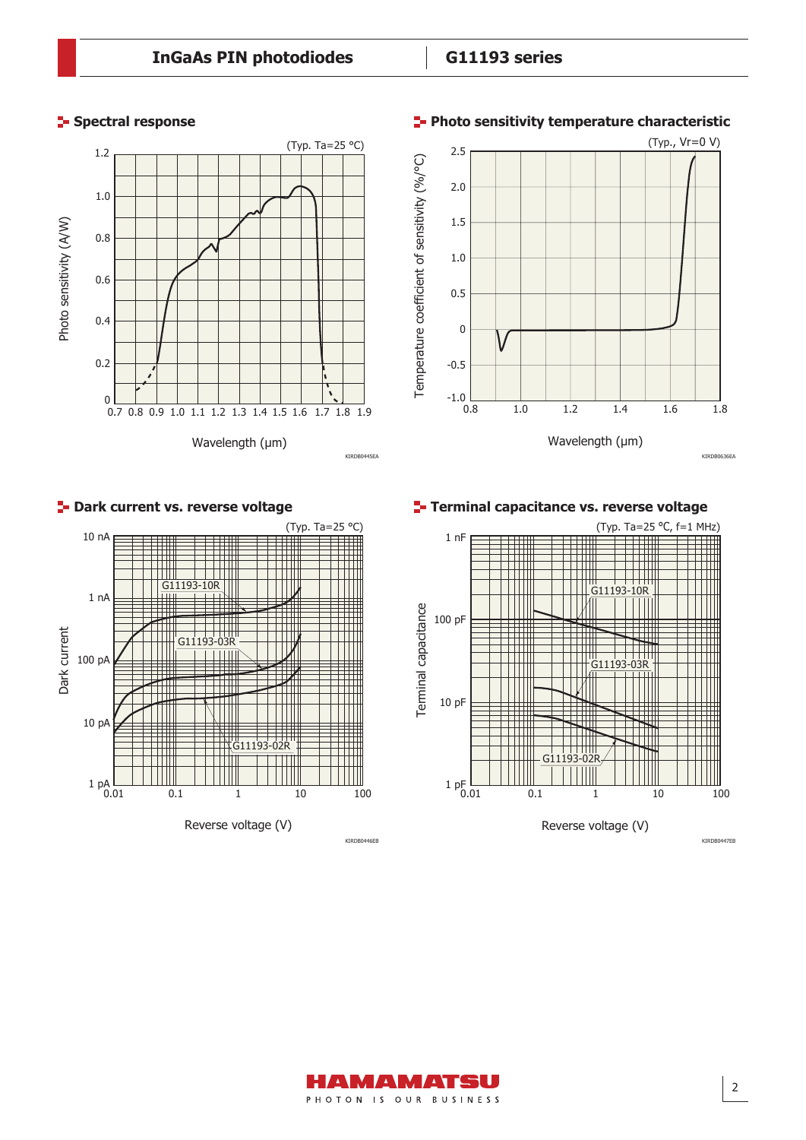

# **Spectral response Photo sensitivity temperature characteristic**

(Typ., Vr=0 V)



KIRDB0446EB KIRDB0447EB



AMAMATISU PHOTON IS OUR BUSINESS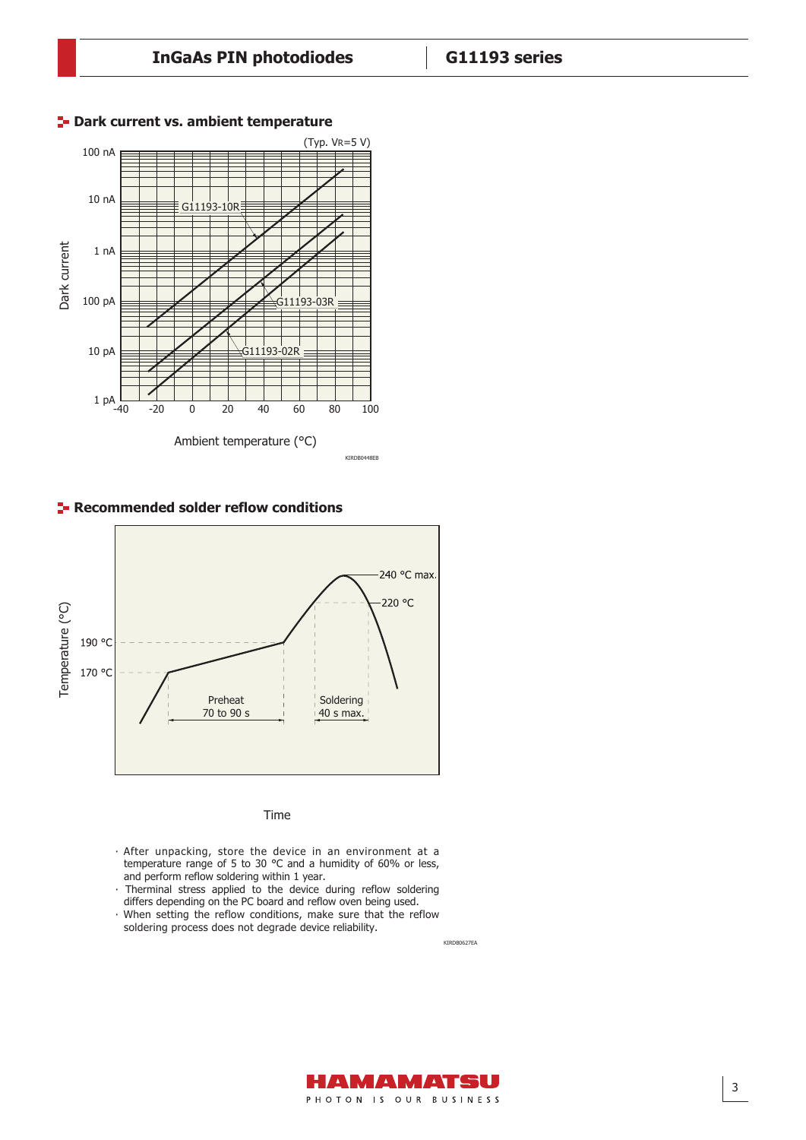

## **P** Dark current vs. ambient temperature

**Recommended solder reflow conditions** 



### Time

- · After unpacking, store the device in an environment at a temperature range of 5 to 30 °C and a humidity of 60% or less, and perform reflow soldering within 1 year.
- · Therminal stress applied to the device during reflow soldering differs depending on the PC board and reflow oven being used.
- · When setting the reflow conditions, make sure that the reflow soldering process does not degrade device reliability.

KIRDB0627EA